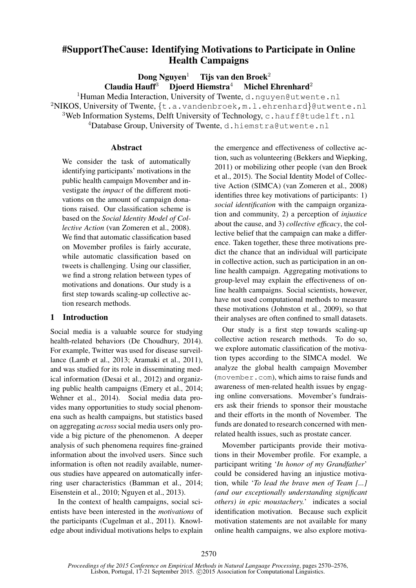# #SupportTheCause: Identifying Motivations to Participate in Online Health Campaigns

Dong Nguyen<sup>1</sup> Tijs van den Broek<sup>2</sup> Claudia Hauff<sup>3</sup> Djoerd Hiemstra<sup>4</sup> Michel Ehrenhard<sup>2</sup>

<sup>1</sup>Human Media Interaction, University of Twente, d.nguyen@utwente.nl <sup>2</sup>NIKOS, University of Twente,  $\{t.a.vandenbroek,m.l.ehrenhard\}$ @utwente.nl <sup>3</sup>Web Information Systems, Delft University of Technology, c.hauff@tudelft.nl <sup>4</sup>Database Group, University of Twente, d.hiemstra@utwente.nl

### **Abstract**

We consider the task of automatically identifying participants' motivations in the public health campaign Movember and investigate the *impact* of the different motivations on the amount of campaign donations raised. Our classification scheme is based on the *Social Identity Model of Collective Action* (van Zomeren et al., 2008). We find that automatic classification based on Movember profiles is fairly accurate, while automatic classification based on tweets is challenging. Using our classifier, we find a strong relation between types of motivations and donations. Our study is a first step towards scaling-up collective action research methods.

## 1 Introduction

Social media is a valuable source for studying health-related behaviors (De Choudhury, 2014). For example, Twitter was used for disease surveillance (Lamb et al., 2013; Aramaki et al., 2011), and was studied for its role in disseminating medical information (Desai et al., 2012) and organizing public health campaigns (Emery et al., 2014; Wehner et al., 2014). Social media data provides many opportunities to study social phenomena such as health campaigns, but statistics based on aggregating *across* social media users only provide a big picture of the phenomenon. A deeper analysis of such phenomena requires fine-grained information about the involved users. Since such information is often not readily available, numerous studies have appeared on automatically inferring user characteristics (Bamman et al., 2014; Eisenstein et al., 2010; Nguyen et al., 2013).

In the context of health campaigns, social scientists have been interested in the *motivations* of the participants (Cugelman et al., 2011). Knowledge about individual motivations helps to explain the emergence and effectiveness of collective action, such as volunteering (Bekkers and Wiepking, 2011) or mobilizing other people (van den Broek et al., 2015). The Social Identity Model of Collective Action (SIMCA) (van Zomeren et al., 2008) identifies three key motivations of participants: 1) *social identification* with the campaign organization and community, 2) a perception of *injustice* about the cause, and 3) *collective efficacy*, the collective belief that the campaign can make a difference. Taken together, these three motivations predict the chance that an individual will participate in collective action, such as participation in an online health campaign. Aggregating motivations to group-level may explain the effectiveness of online health campaigns. Social scientists, however, have not used computational methods to measure these motivations (Johnston et al., 2009), so that their analyses are often confined to small datasets.

Our study is a first step towards scaling-up collective action research methods. To do so, we explore automatic classification of the motivation types according to the SIMCA model. We analyze the global health campaign Movember (movember.com), which aims to raise funds and awareness of men-related health issues by engaging online conversations. Movember's fundraisers ask their friends to sponsor their moustache and their efforts in the month of November. The funds are donated to research concerned with menrelated health issues, such as prostate cancer.

Movember participants provide their motivations in their Movember profile. For example, a participant writing '*In honor of my Grandfather*' could be considered having an injustice motivation, while '*To lead the brave men of Team [...] (and our exceptionally understanding significant others) in epic moustachery.*' indicates a social identification motivation. Because such explicit motivation statements are not available for many online health campaigns, we also explore motiva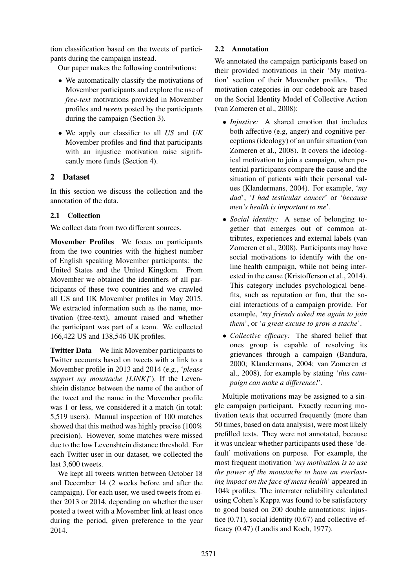tion classification based on the tweets of participants during the campaign instead.

Our paper makes the following contributions:

- We automatically classify the motivations of Movember participants and explore the use of *free-text* motivations provided in Movember profiles and *tweets* posted by the participants during the campaign (Section 3).
- We apply our classifier to all *US* and *UK* Movember profiles and find that participants with an injustice motivation raise significantly more funds (Section 4).

## 2 Dataset

In this section we discuss the collection and the annotation of the data.

## 2.1 Collection

We collect data from two different sources.

Movember Profiles We focus on participants from the two countries with the highest number of English speaking Movember participants: the United States and the United Kingdom. From Movember we obtained the identifiers of all participants of these two countries and we crawled all US and UK Movember profiles in May 2015. We extracted information such as the name, motivation (free-text), amount raised and whether the participant was part of a team. We collected 166,422 US and 138,546 UK profiles.

Twitter Data We link Movember participants to Twitter accounts based on tweets with a link to a Movember profile in 2013 and 2014 (e.g., '*please support my moustache [LINK]*'). If the Levenshtein distance between the name of the author of the tweet and the name in the Movember profile was 1 or less, we considered it a match (in total: 5,519 users). Manual inspection of 100 matches showed that this method was highly precise (100% precision). However, some matches were missed due to the low Levenshtein distance threshold. For each Twitter user in our dataset, we collected the last 3,600 tweets.

We kept all tweets written between October 18 and December 14 (2 weeks before and after the campaign). For each user, we used tweets from either 2013 or 2014, depending on whether the user posted a tweet with a Movember link at least once during the period, given preference to the year 2014.

## 2.2 Annotation

We annotated the campaign participants based on their provided motivations in their 'My motivation' section of their Movember profiles. The motivation categories in our codebook are based on the Social Identity Model of Collective Action (van Zomeren et al., 2008):

- *Injustice:* A shared emotion that includes both affective (e.g, anger) and cognitive perceptions (ideology) of an unfair situation (van Zomeren et al., 2008). It covers the ideological motivation to join a campaign, when potential participants compare the cause and the situation of patients with their personal values (Klandermans, 2004). For example, '*my dad*', '*I had testicular cancer*' or '*because men's health is important to me*'.
- *Social identity:* A sense of belonging together that emerges out of common attributes, experiences and external labels (van Zomeren et al., 2008). Participants may have social motivations to identify with the online health campaign, while not being interested in the cause (Kristofferson et al., 2014). This category includes psychological benefits, such as reputation or fun, that the social interactions of a campaign provide. For example, '*my friends asked me again to join them*', or '*a great excuse to grow a stache*'.
- *Collective efficacy:* The shared belief that ones group is capable of resolving its grievances through a campaign (Bandura, 2000; Klandermans, 2004; van Zomeren et al., 2008), for example by stating '*this campaign can make a difference!*'.

Multiple motivations may be assigned to a single campaign participant. Exactly recurring motivation texts that occurred frequently (more than 50 times, based on data analysis), were most likely prefilled texts. They were not annotated, because it was unclear whether participants used these 'default' motivations on purpose. For example, the most frequent motivation '*my motivation is to use the power of the moustache to have an everlasting impact on the face of mens health*' appeared in 104k profiles. The interrater reliability calculated using Cohen's Kappa was found to be satisfactory to good based on 200 double annotations: injustice (0.71), social identity (0.67) and collective efficacy (0.47) (Landis and Koch, 1977).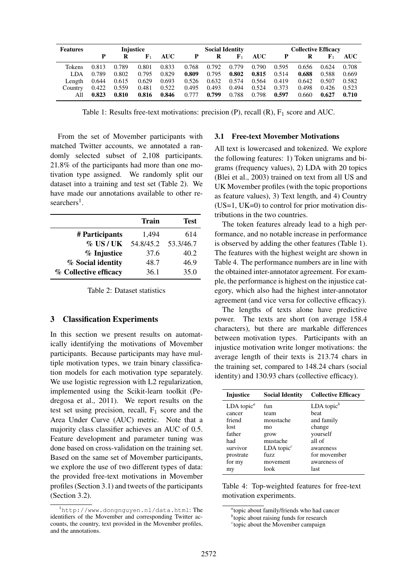| <b>Features</b> | <b>Injustice</b> |       |             |            | <b>Social Identity</b> |       |             |            | <b>Collective Efficacy</b> |       |             |       |
|-----------------|------------------|-------|-------------|------------|------------------------|-------|-------------|------------|----------------------------|-------|-------------|-------|
|                 | P                | R     | ${\bf F}_1$ | <b>AUC</b> | P                      |       | ${\bf F}_1$ | <b>AUC</b> | P                          | R     | ${\bf F}_1$ | AUC-  |
| Tokens          | 0.813            | 0.789 | 0.801       | 0.833      | 0.768                  | 0.792 | 0.779       | 0.790      | 0.595                      | 0.656 | 0.624       | 0.708 |
| <b>LDA</b>      | 0.789            | 0.802 | 0.795       | 0.829      | 0.809                  | 0.795 | 0.802       | 0.815      | 0.514                      | 0.688 | 0.588       | 0.669 |
| Length          | 0.644            | 0.615 | 0.629       | 0.693      | 0.526                  | 0.632 | 0.574       | 0.564      | 0.419                      | 0.642 | 0.507       | 0.582 |
| Country         | 0.422            | 0.559 | 0.481       | 0.522      | 0.495                  | 0.493 | 0.494       | 0.524      | 0.373                      | 0.498 | 0.426       | 0.523 |
| All             | 0.823            | 0.810 | 0.816       | 0.846      | 0.777                  | 0.799 | 0.788       | 0.798      | 0.597                      | 0.660 | 0.627       | 0.710 |

Table 1: Results free-text motivations: precision  $(P)$ , recall  $(R)$ ,  $F_1$  score and AUC.

From the set of Movember participants with matched Twitter accounts, we annotated a randomly selected subset of 2,108 participants. 21.8% of the participants had more than one motivation type assigned. We randomly split our dataset into a training and test set (Table 2). We have made our annotations available to other researchers<sup>1</sup>.

|                       | <b>Train</b> | <b>Test</b> |
|-----------------------|--------------|-------------|
| # Participants        | 1,494        | 614         |
| $\%$ US/UK            | 54.8/45.2    | 53.3/46.7   |
| % Injustice           | 37.6         | 40.2        |
| % Social identity     | 48.7         | 46.9        |
| % Collective efficacy | 36.1         | 35.0        |

Table 2: Dataset statistics

#### 3 Classification Experiments

In this section we present results on automatically identifying the motivations of Movember participants. Because participants may have multiple motivation types, we train binary classification models for each motivation type separately. We use logistic regression with L2 regularization, implemented using the Scikit-learn toolkit (Pedregosa et al., 2011). We report results on the test set using precision, recall,  $F_1$  score and the Area Under Curve (AUC) metric. Note that a majority class classifier achieves an AUC of 0.5. Feature development and parameter tuning was done based on cross-validation on the training set. Based on the same set of Movember participants, we explore the use of two different types of data: the provided free-text motivations in Movember profiles (Section 3.1) and tweets of the participants (Section 3.2).

## 3.1 Free-text Movember Motivations

All text is lowercased and tokenized. We explore the following features: 1) Token unigrams and bigrams (frequency values), 2) LDA with 20 topics (Blei et al., 2003) trained on text from all US and UK Movember profiles (with the topic proportions as feature values), 3) Text length, and 4) Country  $(US=1, UK=0)$  to control for prior motivation distributions in the two countries.

The token features already lead to a high performance, and no notable increase in performance is observed by adding the other features (Table 1). The features with the highest weight are shown in Table 4. The performance numbers are in line with the obtained inter-annotator agreement. For example, the performance is highest on the injustice category, which also had the highest inter-annotator agreement (and vice versa for collective efficacy).

The lengths of texts alone have predictive power. The texts are short (on average 158.4 characters), but there are markable differences between motivation types. Participants with an injustice motivation write longer motivations: the average length of their texts is 213.74 chars in the training set, compared to 148.24 chars (social identity) and 130.93 chars (collective efficacy).

| Injustice<br><b>Collective Efficacy</b><br><b>Social Identity</b><br>LDA topic $b$<br>LDA topic <sup><math>a</math></sup><br>fun<br>beat<br>team<br>cancer<br>friend<br>and family<br>moustache<br>change<br>lost<br>mo<br>yourself<br>father<br>grow<br>all of<br>mustache<br>had<br>survivor<br>$LDA$ topic <sup><math>c</math></sup><br>awareness<br>fuzz.<br>for movember<br>prostrate<br>for my<br>awareness of<br>movement |  |  |
|----------------------------------------------------------------------------------------------------------------------------------------------------------------------------------------------------------------------------------------------------------------------------------------------------------------------------------------------------------------------------------------------------------------------------------|--|--|
|                                                                                                                                                                                                                                                                                                                                                                                                                                  |  |  |
| look<br>last<br>my                                                                                                                                                                                                                                                                                                                                                                                                               |  |  |

Table 4: Top-weighted features for free-text motivation experiments.

<sup>1</sup>http://www.dongnguyen.nl/data.html: The identifiers of the Movember and corresponding Twitter accounts, the country, text provided in the Movember profiles, and the annotations.

*a* topic about family/friends who had cancer

*b* topic about raising funds for research

*c* topic about the Movember campaign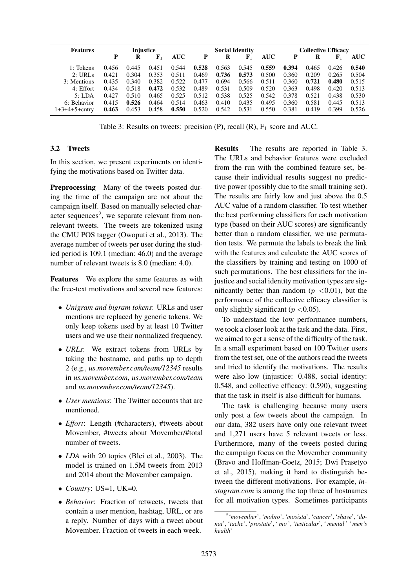| <b>Features</b> |       | Injustice |             |            |       |       | <b>Social Identity</b> |            |       |       | <b>Collective Efficacy</b> |            |
|-----------------|-------|-----------|-------------|------------|-------|-------|------------------------|------------|-------|-------|----------------------------|------------|
|                 | Р     | R         | ${\bf F}_1$ | <b>AUC</b> | P     | R     | ${\bf F}_1$            | <b>AUC</b> | P     | R     | ${\bf F}_1$                | <b>AUC</b> |
| 1: Tokens       | 0.456 | 0.445     | 0.451       | 0.544      | 0.528 | 0.563 | 0.545                  | 0.559      | 0.394 | 0.465 | 0.426                      | 0.540      |
| 2: URLs         | 0.421 | 0.304     | 0.353       | 0.511      | 0.469 | 0.736 | 0.573                  | 0.500      | 0.360 | 0.209 | 0.265                      | 0.504      |
| 3: Mentions     | 0.435 | 0.340     | 0.382       | 0.522      | 0.477 | 0.694 | 0.566                  | 0.511      | 0.360 | 0.721 | 0.480                      | 0.515      |
| 4: Effort       | 0.434 | 0.518     | 0.472       | 0.532      | 0.489 | 0.531 | 0.509                  | 0.520      | 0.363 | 0.498 | 0.420                      | 0.513      |
| 5: LDA          | 0.427 | 0.510     | 0.465       | 0.525      | 0.512 | 0.538 | 0.525                  | 0.542      | 0.378 | 0.521 | 0.438                      | 0.530      |
| 6: Behavior     | 0.415 | 0.526     | 0.464       | 0.514      | 0.463 | 0.410 | 0.435                  | 0.495      | 0.360 | 0.581 | 0.445                      | 0.513      |
| 1+3+4+5+cntrv   | 0.463 | 0.453     | 0.458       | 0.550      | 0.520 | 0.542 | 0.531                  | 0.550      | 0.381 | 0.419 | 0.399                      | 0.526      |

Table 3: Results on tweets: precision  $(P)$ , recall  $(R)$ ,  $F_1$  score and AUC.

## 3.2 Tweets

In this section, we present experiments on identifying the motivations based on Twitter data.

Preprocessing Many of the tweets posted during the time of the campaign are not about the campaign itself. Based on manually selected character sequences<sup>2</sup>, we separate relevant from nonrelevant tweets. The tweets are tokenized using the CMU POS tagger (Owoputi et al., 2013). The average number of tweets per user during the studied period is 109.1 (median: 46.0) and the average number of relevant tweets is 8.0 (median: 4.0).

Features We explore the same features as with the free-text motivations and several new features:

- *Unigram and bigram tokens*: URLs and user mentions are replaced by generic tokens. We only keep tokens used by at least 10 Twitter users and we use their normalized frequency.
- *URLs*: We extract tokens from URLs by taking the hostname, and paths up to depth 2 (e.g., *us.movember.com/team/12345* results in *us.movember.com*, *us.movember.com/team* and *us.movember.com/team/12345*).
- *User mentions*: The Twitter accounts that are mentioned.
- *Effort*: Length (#characters), #tweets about Movember, #tweets about Movember/#total number of tweets.
- *LDA* with 20 topics (Blei et al., 2003). The model is trained on 1.5M tweets from 2013 and 2014 about the Movember campaign.
- *Country*: US=1, UK=0.
- *Behavior*: Fraction of retweets, tweets that contain a user mention, hashtag, URL, or are a reply. Number of days with a tweet about Movember. Fraction of tweets in each week.

Results The results are reported in Table 3. The URLs and behavior features were excluded from the run with the combined feature set, because their individual results suggest no predictive power (possibly due to the small training set). The results are fairly low and just above the 0.5 AUC value of a random classifier. To test whether the best performing classifiers for each motivation type (based on their AUC scores) are significantly better than a random classifier, we use permutation tests. We permute the labels to break the link with the features and calculate the AUC scores of the classifiers by training and testing on 1000 of such permutations. The best classifiers for the injustice and social identity motivation types are significantly better than random ( $p < 0.01$ ), but the performance of the collective efficacy classifier is only slightly significant ( $p < 0.05$ ).

To understand the low performance numbers, we took a closer look at the task and the data. First, we aimed to get a sense of the difficulty of the task. In a small experiment based on 100 Twitter users from the test set, one of the authors read the tweets and tried to identify the motivations. The results were also low (injustice: 0.488, social identity: 0.548, and collective efficacy: 0.590), suggesting that the task in itself is also difficult for humans.

The task is challenging because many users only post a few tweets about the campaign. In our data, 382 users have only one relevant tweet and 1,271 users have 5 relevant tweets or less. Furthermore, many of the tweets posted during the campaign focus on the Movember community (Bravo and Hoffman-Goetz, 2015; Dwi Prasetyo et al., 2015), making it hard to distinguish between the different motivations. For example, *instagram.com* is among the top three of hostnames for all motivation types. Sometimes participants

<sup>2</sup> '*movember*', '*mobro*', '*mosista*', '*cancer*', '*shave*', '*donat*', '*tache*', '*prostate*', ' *mo* ', '*testicular*', ' *mental* ' ' *men's health*'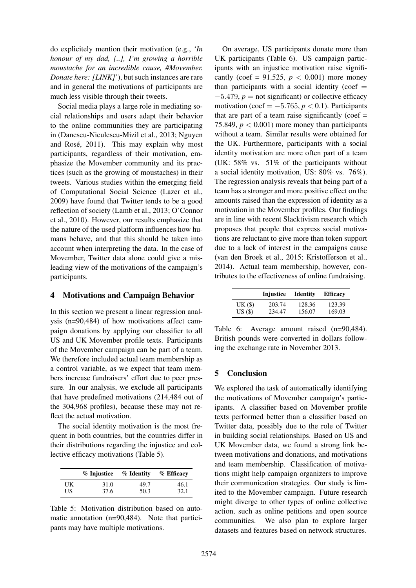do explicitely mention their motivation (e.g., '*In honour of my dad, [..], I'm growing a horrible moustache for an incredible cause, #Movember. Donate here: [LINK]'*), but such instances are rare and in general the motivations of participants are much less visible through their tweets.

Social media plays a large role in mediating social relationships and users adapt their behavior to the online communities they are participating in (Danescu-Niculescu-Mizil et al., 2013; Nguyen and Rosé, 2011). This may explain why most participants, regardless of their motivation, emphasize the Movember community and its practices (such as the growing of moustaches) in their tweets. Various studies within the emerging field of Computational Social Science (Lazer et al., 2009) have found that Twitter tends to be a good reflection of society (Lamb et al., 2013; O'Connor et al., 2010). However, our results emphasize that the nature of the used platform influences how humans behave, and that this should be taken into account when interpreting the data. In the case of Movember, Twitter data alone could give a misleading view of the motivations of the campaign's participants.

## 4 Motivations and Campaign Behavior

In this section we present a linear regression analysis (n=90,484) of how motivations affect campaign donations by applying our classifier to all US and UK Movember profile texts. Participants of the Movember campaign can be part of a team. We therefore included actual team membership as a control variable, as we expect that team members increase fundraisers' effort due to peer pressure. In our analysis, we exclude all participants that have predefined motivations (214,484 out of the 304,968 profiles), because these may not reflect the actual motivation.

The social identity motivation is the most frequent in both countries, but the countries differ in their distributions regarding the injustice and collective efficacy motivations (Table 5).

|     | % Injustice | $\%$ Identity | $%$ Efficacy |
|-----|-------------|---------------|--------------|
| UK  | 31.0        | 49.7          | 46.1         |
| US. | 37.6        | 50.3          | 32.1         |

Table 5: Motivation distribution based on automatic annotation (n=90,484). Note that participants may have multiple motivations.

On average, US participants donate more than UK participants (Table 6). US campaign participants with an injustice motivation raise significantly (coef = 91.525,  $p < 0.001$ ) more money than participants with a social identity (coef  $=$  $-5.479$ ,  $p =$  not significant) or collective efficacy motivation (coef =  $-5.765$ ,  $p < 0.1$ ). Participants that are part of a team raise significantly (coef  $=$ 75.849,  $p < 0.001$ ) more money than participants without a team. Similar results were obtained for the UK. Furthermore, participants with a social identity motivation are more often part of a team (UK: 58% vs. 51% of the participants without a social identity motivation, US: 80% vs. 76%). The regression analysis reveals that being part of a team has a stronger and more positive effect on the amounts raised than the expression of identity as a motivation in the Movember profiles. Our findings are in line with recent Slacktivism research which proposes that people that express social motivations are reluctant to give more than token support due to a lack of interest in the campaigns cause (van den Broek et al., 2015; Kristofferson et al., 2014). Actual team membership, however, contributes to the effectiveness of online fundraising.

|           | Injustice | <b>Identity</b> | <b>Efficacy</b> |
|-----------|-----------|-----------------|-----------------|
| $UK($ \$) | 203.74    | 128.36          | 123.39          |
| $US($ \$) | 234.47    | 156.07          | 169.03          |

Table 6: Average amount raised (n=90,484). British pounds were converted in dollars following the exchange rate in November 2013.

## 5 Conclusion

We explored the task of automatically identifying the motivations of Movember campaign's participants. A classifier based on Movember profile texts performed better than a classifier based on Twitter data, possibly due to the role of Twitter in building social relationships. Based on US and UK Movember data, we found a strong link between motivations and donations, and motivations and team membership. Classification of motivations might help campaign organizers to improve their communication strategies. Our study is limited to the Movember campaign. Future research might diverge to other types of online collective action, such as online petitions and open source communities. We also plan to explore larger datasets and features based on network structures.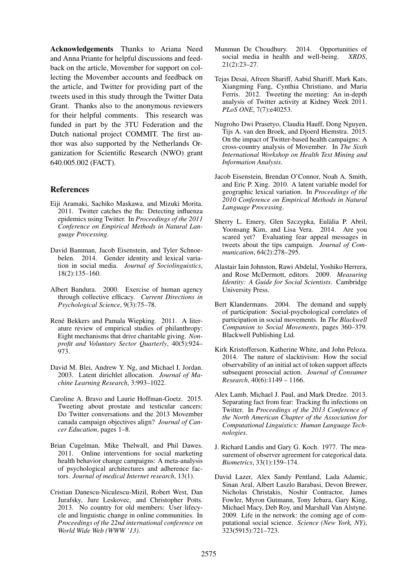Acknowledgements Thanks to Ariana Need and Anna Priante for helpful discussions and feedback on the article, Movember for support on collecting the Movember accounts and feedback on the article, and Twitter for providing part of the tweets used in this study through the Twitter Data Grant. Thanks also to the anonymous reviewers for their helpful comments. This research was funded in part by the 3TU Federation and the Dutch national project COMMIT. The first author was also supported by the Netherlands Organization for Scientific Research (NWO) grant 640.005.002 (FACT).

## References

- Eiji Aramaki, Sachiko Maskawa, and Mizuki Morita. 2011. Twitter catches the flu: Detecting influenza epidemics using Twitter. In *Proceedings of the 2011 Conference on Empirical Methods in Natural Language Processing*.
- David Bamman, Jacob Eisenstein, and Tyler Schnoebelen. 2014. Gender identity and lexical variation in social media. *Journal of Sociolinguistics*, 18(2):135–160.
- Albert Bandura. 2000. Exercise of human agency through collective efficacy. *Current Directions in Psychological Science*, 9(3):75–78.
- René Bekkers and Pamala Wiepking. 2011. A literature review of empirical studies of philanthropy: Eight mechanisms that drive charitable giving. *Nonprofit and Voluntary Sector Quarterly*, 40(5):924– 973.
- David M. Blei, Andrew Y. Ng, and Michael I. Jordan. 2003. Latent dirichlet allocation. *Journal of Machine Learning Research*, 3:993–1022.
- Caroline A. Bravo and Laurie Hoffman-Goetz. 2015. Tweeting about prostate and testicular cancers: Do Twitter conversations and the 2013 Movember canada campaign objectives align? *Journal of Cancer Education*, pages 1–8.
- Brian Cugelman, Mike Thelwall, and Phil Dawes. 2011. Online interventions for social marketing health behavior change campaigns: A meta-analysis of psychological architectures and adherence factors. *Journal of medical Internet research*, 13(1).
- Cristian Danescu-Niculescu-Mizil, Robert West, Dan Jurafsky, Jure Leskovec, and Christopher Potts. 2013. No country for old members: User lifecycle and linguistic change in online communities. In *Proceedings of the 22nd international conference on World Wide Web (WWW '13)*.
- Munmun De Choudhury. 2014. Opportunities of social media in health and well-being. *XRDS*, 21(2):23–27.
- Tejas Desai, Afreen Shariff, Aabid Shariff, Mark Kats, Xiangming Fang, Cynthia Christiano, and Maria Ferris. 2012. Tweeting the meeting: An in-depth analysis of Twitter activity at Kidney Week 2011. *PLoS ONE*, 7(7):e40253.
- Nugroho Dwi Prasetyo, Claudia Hauff, Dong Nguyen, Tijs A. van den Broek, and Djoerd Hiemstra. 2015. On the impact of Twitter-based health campaigns: A cross-country analysis of Movember. In *The Sixth International Workshop on Health Text Mining and Information Analysis*.
- Jacob Eisenstein, Brendan O'Connor, Noah A. Smith, and Eric P. Xing. 2010. A latent variable model for geographic lexical variation. In *Proceedings of the 2010 Conference on Empirical Methods in Natural Language Processing*.
- Sherry L. Emery, Glen Szczypka, Eulalia P. Abril, ` Yoonsang Kim, and Lisa Vera. 2014. Are you scared yet? Evaluating fear appeal messages in tweets about the tips campaign. *Journal of Communication*, 64(2):278–295.
- Alastair Iain Johnston, Rawi Abdelal, Yoshiko Herrera, and Rose McDermott, editors. 2009. *Measuring Identity: A Guide for Social Scientists*. Cambridge University Press.
- Bert Klandermans. 2004. The demand and supply of participation: Social-psychological correlates of participation in social movements. In *The Blackwell Companion to Social Movements*, pages 360–379. Blackwell Publishing Ltd.
- Kirk Kristofferson, Katherine White, and John Peloza. 2014. The nature of slacktivism: How the social observability of an initial act of token support affects subsequent prosocial action. *Journal of Consumer Research*, 40(6):1149 – 1166.
- Alex Lamb, Michael J. Paul, and Mark Dredze. 2013. Separating fact from fear: Tracking flu infections on Twitter. In *Proceedings of the 2013 Conference of the North American Chapter of the Association for Computational Linguistics: Human Language Technologies*.
- J. Richard Landis and Gary G. Koch. 1977. The measurement of observer agreement for categorical data. *Biometrics*, 33(1):159–174.
- David Lazer, Alex Sandy Pentland, Lada Adamic, Sinan Aral, Albert Laszlo Barabasi, Devon Brewer, Nicholas Christakis, Noshir Contractor, James Fowler, Myron Gutmann, Tony Jebara, Gary King, Michael Macy, Deb Roy, and Marshall Van Alstyne. 2009. Life in the network: the coming age of computational social science. *Science (New York, NY)*, 323(5915):721–723.